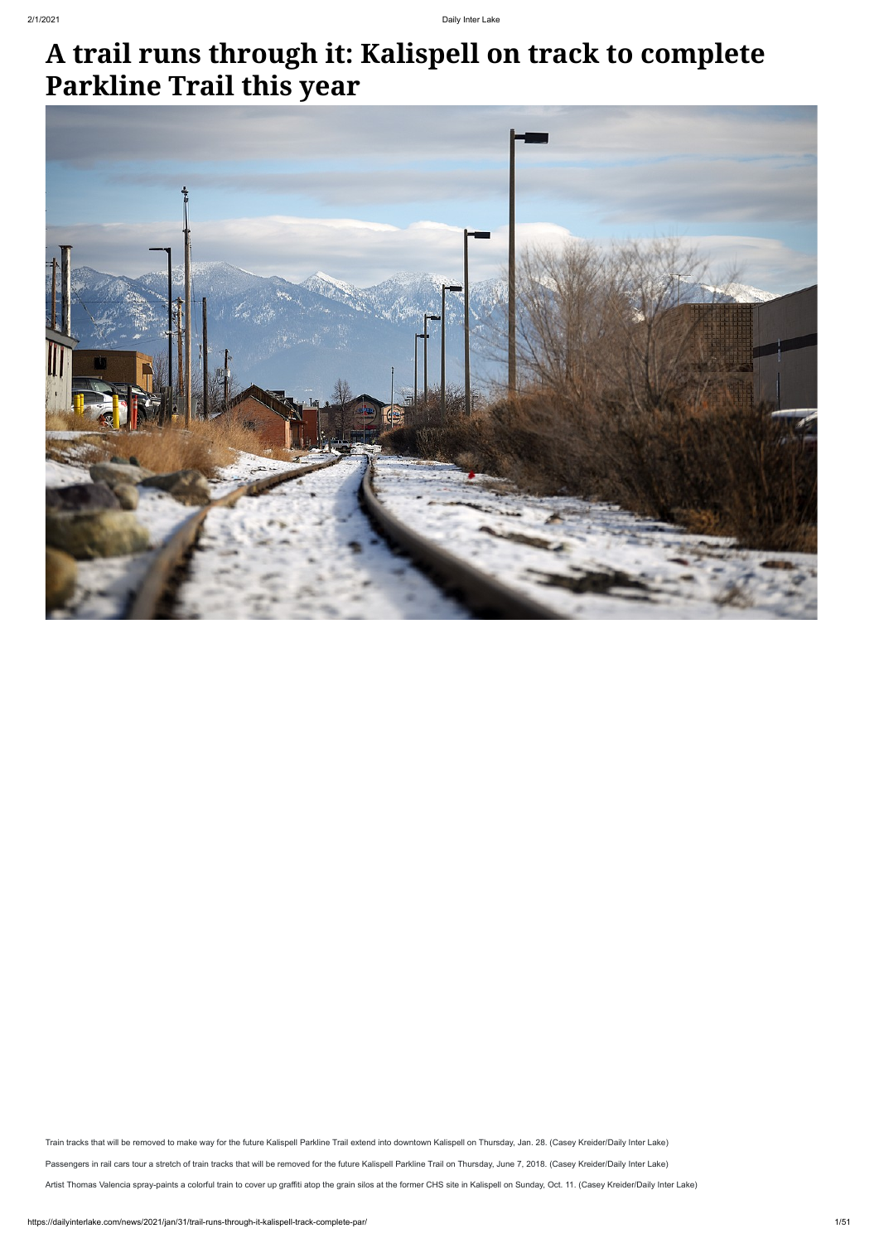# **A trail runs through it: Kalispell on track to complete Parkline Trail this year**



Train tracks that will be removed to make way for the future Kalispell Parkline Trail extend into downtown Kalispell on Thursday, Jan. 28. (Casey Kreider/Daily Inter Lake)

Passengers in rail cars tour a stretch of train tracks that will be removed for the future Kalispell Parkline Trail on Thursday, June 7, 2018. (Casey Kreider/Daily Inter Lake)

Artist Thomas Valencia spray-paints a colorful train to cover up graffiti atop the grain silos at the former CHS site in Kalispell on Sunday, Oct. 11. (Casey Kreider/Daily Inter Lake)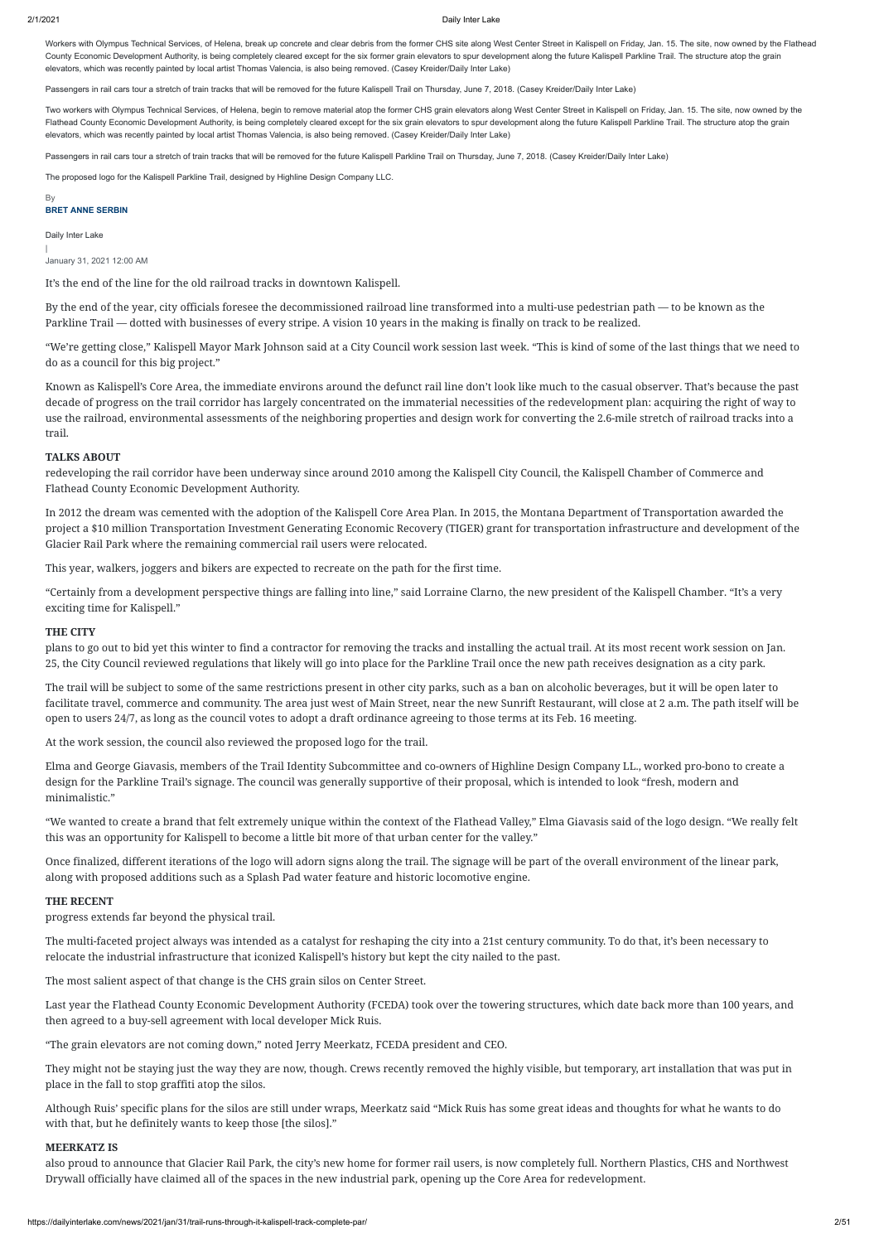Daily Inter Lake

|

January 31, 2021 12:00 AM

It's the end of the line for the old railroad tracks in downtown Kalispell.

By the end of the year, city officials foresee the decommissioned railroad line transformed into a multi-use pedestrian path — to be known as the Parkline Trail — dotted with businesses of every stripe. A vision 10 years in the making is finally on track to be realized.

"We're getting close," Kalispell Mayor Mark Johnson said at a City Council work session last week. "This is kind of some of the last things that we need to do as a council for this big project."

Known as Kalispell's Core Area, the immediate environs around the defunct rail line don't look like much to the casual observer. That's because the past decade of progress on the trail corridor has largely concentrated on the immaterial necessities of the redevelopment plan: acquiring the right of way to use the railroad, environmental assessments of the neighboring properties and design work for converting the 2.6-mile stretch of railroad tracks into a trail.

## **TALKS ABOUT**

redeveloping the rail corridor have been underway since around 2010 among the Kalispell City Council, the Kalispell Chamber of Commerce and Flathead County Economic Development Authority.

In 2012 the dream was cemented with the adoption of the Kalispell Core Area Plan. In 2015, the Montana Department of Transportation awarded the project a \$10 million Transportation Investment Generating Economic Recovery (TIGER) grant for transportation infrastructure and development of the Glacier Rail Park where the remaining commercial rail users were relocated.

This year, walkers, joggers and bikers are expected to recreate on the path for the first time.

"Certainly from a development perspective things are falling into line," said Lorraine Clarno, the new president of the Kalispell Chamber. "It's a very exciting time for Kalispell."

#### **THE CITY**

plans to go out to bid yet this winter to find a contractor for removing the tracks and installing the actual trail. At its most recent work session on Jan. 25, the City Council reviewed regulations that likely will go into place for the Parkline Trail once the new path receives designation as a city park.

The trail will be subject to some of the same restrictions present in other city parks, such as a ban on alcoholic beverages, but it will be open later to facilitate travel, commerce and community. The area just west of Main Street, near the new Sunrift Restaurant, will close at 2 a.m. The path itself will be open to users 24/7, as long as the council votes to adopt a draft ordinance agreeing to those terms at its Feb. 16 meeting.

Workers with Olympus Technical Services, of Helena, break up concrete and clear debris from the former CHS site along West Center Street in Kalispell on Friday, Jan. 15. The site, now owned by the Flathead County Economic Development Authority, is being completely cleared except for the six former grain elevators to spur development along the future Kalispell Parkline Trail. The structure atop the grain elevators, which was recently painted by local artist Thomas Valencia, is also being removed. (Casey Kreider/Daily Inter Lake)

Passengers in rail cars tour a stretch of train tracks that will be removed for the future Kalispell Trail on Thursday, June 7, 2018. (Casey Kreider/Daily Inter Lake)

At the work session, the council also reviewed the proposed logo for the trail.

Elma and George Giavasis, members of the Trail Identity Subcommittee and co-owners of Highline Design Company LL., worked pro-bono to create a design for the Parkline Trail's signage. The council was generally supportive of their proposal, which is intended to look "fresh, modern and minimalistic."

"We wanted to create a brand that felt extremely unique within the context of the Flathead Valley," Elma Giavasis said of the logo design. "We really felt this was an opportunity for Kalispell to become a little bit more of that urban center for the valley."

#### **BRET ANNE SERBIN** By

Once finalized, different iterations of the logo will adorn signs along the trail. The signage will be part of the overall environment of the linear park, along with proposed additions such as a Splash Pad water feature and historic locomotive engine.

# **THE RECENT**

progress extends far beyond the physical trail.

The multi-faceted project always was intended as a catalyst for reshaping the city into a 21st century community. To do that, it's been necessary to relocate the industrial infrastructure that iconized Kalispell's history but kept the city nailed to the past.

The most salient aspect of that change is the CHS grain silos on Center Street.

Last year the Flathead County Economic Development Authority (FCEDA) took over the towering structures, which date back more than 100 years, and then agreed to a buy-sell agreement with local developer Mick Ruis.

"The grain elevators are not coming down," noted Jerry Meerkatz, FCEDA president and CEO.

They might not be staying just the way they are now, though. Crews recently removed the highly visible, but temporary, art installation that was put in place in the fall to stop graffiti atop the silos.

Although Ruis' specific plans for the silos are still under wraps, Meerkatz said "Mick Ruis has some great ideas and thoughts for what he wants to do with that, but he definitely wants to keep those [the silos]."

# **MEERKATZ IS**

also proud to announce that Glacier Rail Park, the city's new home for former rail users, is now completely full. Northern Plastics, CHS and Northwest Drywall officially have claimed all of the spaces in the new industrial park, opening up the Core Area for redevelopment.

Two workers with Olympus Technical Services, of Helena, begin to remove material atop the former CHS grain elevators along West Center Street in Kalispell on Friday, Jan. 15. The site, now owned by the Flathead County Economic Development Authority, is being completely cleared except for the six grain elevators to spur development along the future Kalispell Parkline Trail. The structure atop the grain elevators, which was recently painted by local artist Thomas Valencia, is also being removed. (Casey Kreider/Daily Inter Lake)

Passengers in rail cars tour a stretch of train tracks that will be removed for the future Kalispell Parkline Trail on Thursday, June 7, 2018. (Casey Kreider/Daily Inter Lake)

The proposed logo for the Kalispell Parkline Trail, designed by Highline Design Company LLC.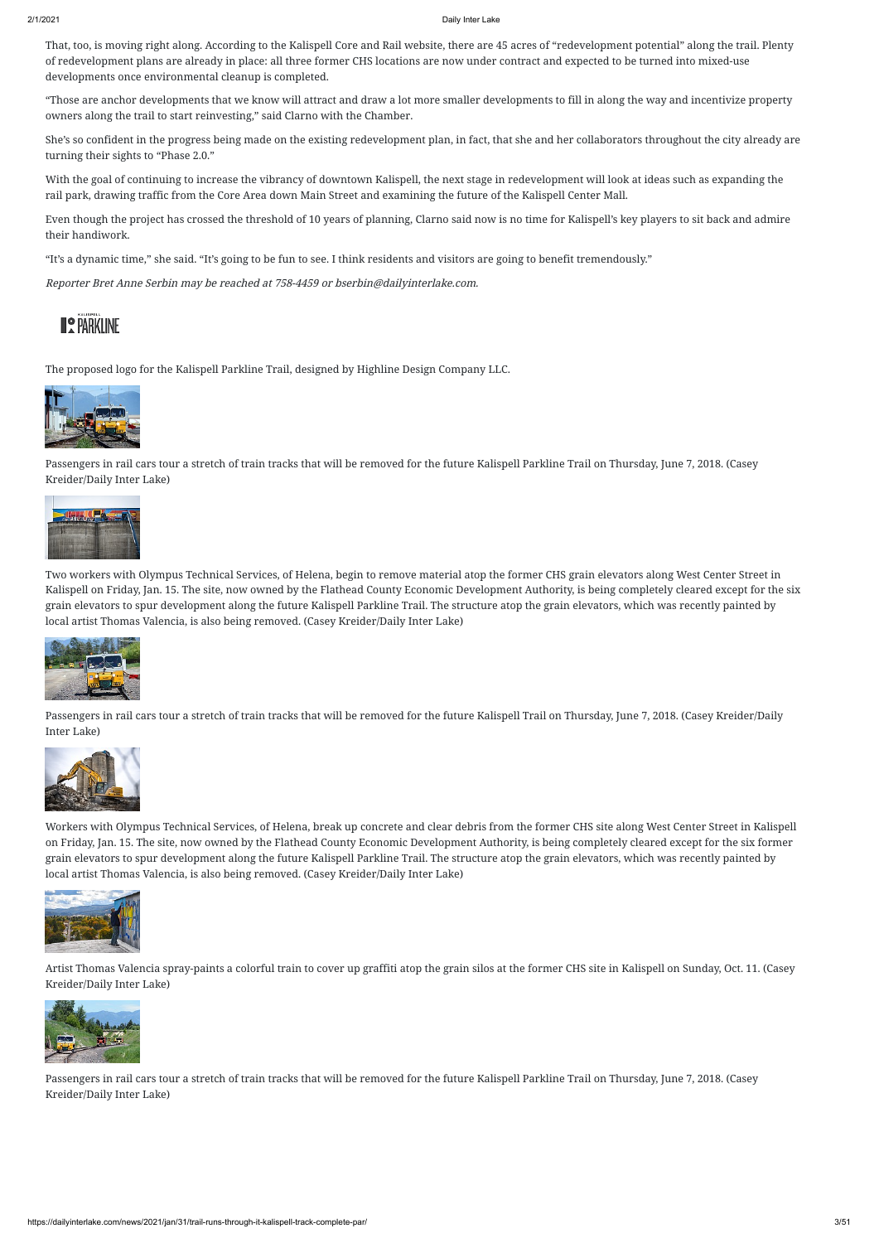That, too, is moving right along. According to the Kalispell Core and Rail website, there are 45 acres of "redevelopment potential" along the trail. Plenty of redevelopment plans are already in place: all three former CHS locations are now under contract and expected to be turned into mixed-use developments once environmental cleanup is completed.

"Those are anchor developments that we know will attract and draw a lot more smaller developments to fill in along the way and incentivize property owners along the trail to start reinvesting," said Clarno with the Chamber.

She's so confident in the progress being made on the existing redevelopment plan, in fact, that she and her collaborators throughout the city already are turning their sights to "Phase 2.0."

With the goal of continuing to increase the vibrancy of downtown Kalispell, the next stage in redevelopment will look at ideas such as expanding the rail park, drawing traffic from the Core Area down Main Street and examining the future of the Kalispell Center Mall.

Even though the project has crossed the threshold of 10 years of planning, Clarno said now is no time for Kalispell's key players to sit back and admire their handiwork.

"It's a dynamic time," she said. "It's going to be fun to see. I think residents and visitors are going to benefit tremendously."

Reporter Bret Anne Serbin may be reached at 758-4459 or bserbin@dailyinterlake.com.

# **DRARKLINE**

The proposed logo for the Kalispell Parkline Trail, designed by Highline Design Company LLC.



Passengers in rail cars tour a stretch of train tracks that will be removed for the future Kalispell Parkline Trail on Thursday, June 7, 2018. (Casey Kreider/Daily Inter Lake)



Two workers with Olympus Technical Services, of Helena, begin to remove material atop the former CHS grain elevators along West Center Street in Kalispell on Friday, Jan. 15. The site, now owned by the Flathead County Economic Development Authority, is being completely cleared except for the six grain elevators to spur development along the future Kalispell Parkline Trail. The structure atop the grain elevators, which was recently painted by local artist Thomas Valencia, is also being removed. (Casey Kreider/Daily Inter Lake)



Passengers in rail cars tour a stretch of train tracks that will be removed for the future Kalispell Trail on Thursday, June 7, 2018. (Casey Kreider/Daily Inter Lake)



Workers with Olympus Technical Services, of Helena, break up concrete and clear debris from the former CHS site along West Center Street in Kalispell on Friday, Jan. 15. The site, now owned by the Flathead County Economic Development Authority, is being completely cleared except for the six former grain elevators to spur development along the future Kalispell Parkline Trail. The structure atop the grain elevators, which was recently painted by local artist Thomas Valencia, is also being removed. (Casey Kreider/Daily Inter Lake)





Artist Thomas Valencia spray-paints a colorful train to cover up graffiti atop the grain silos at the former CHS site in Kalispell on Sunday, Oct. 11. (Casey Kreider/Daily Inter Lake)



Passengers in rail cars tour a stretch of train tracks that will be removed for the future Kalispell Parkline Trail on Thursday, June 7, 2018. (Casey Kreider/Daily Inter Lake)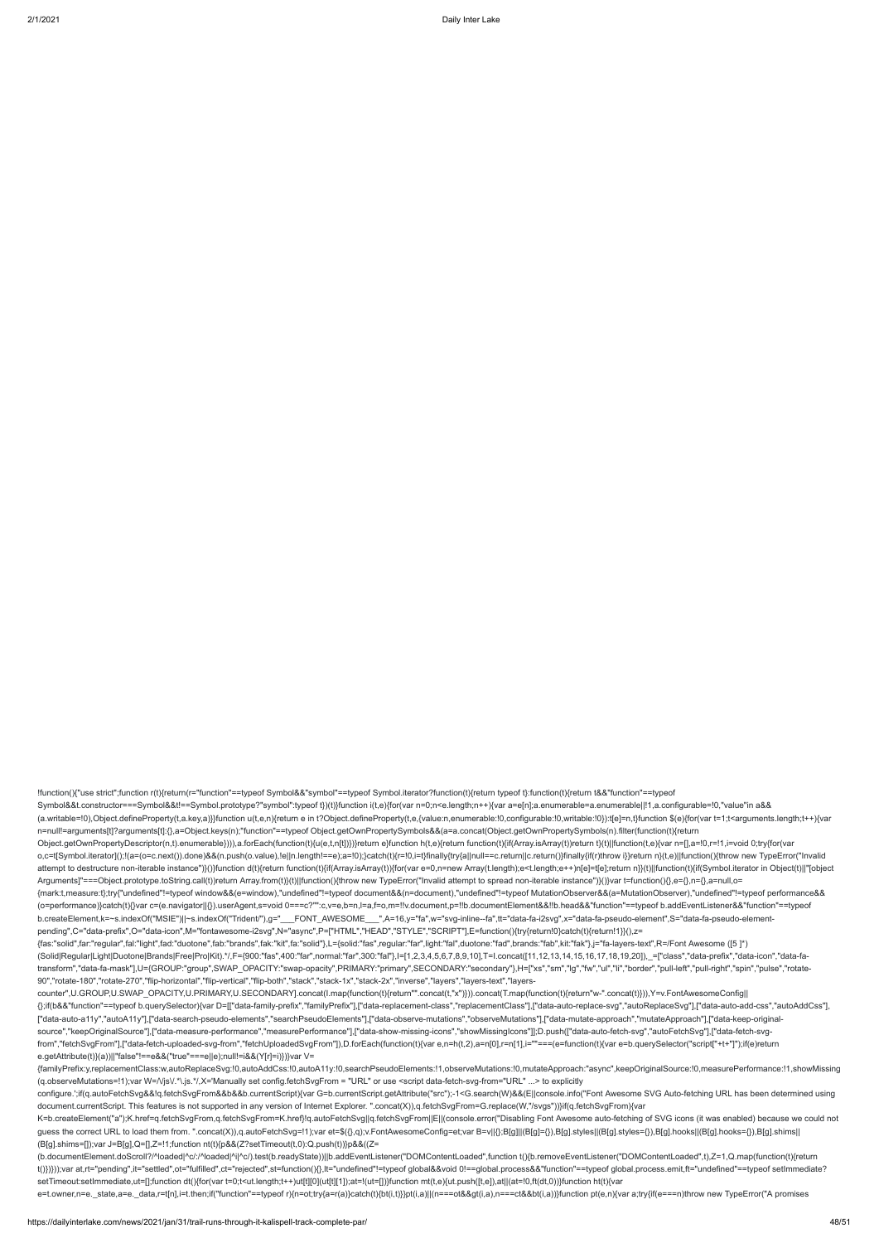!function(){"use strict";function r(t){return(r="function"==typeof Symbol&&"symbol"==typeof Symbol.iterator?function(t){return typeof t}:function(t){return t&&"function"==typeof Symbol&&t.constructor===Symbol&&t!==Symbol.prototype?"symbol":typeof t})(t)}function i(t,e){for(var n=0;n<e.length;n++){var a=e[n];a.enumerable=a.enumerable|!1,a.configurable=!0,"value"in a&& (a.writable=!0),Object.defineProperty(t,a.key,a)}}function u(t,e,n){return e in t?Object.defineProperty(t,e,{value:n,enumerable:!0,configurable:!0,writable:!0}):t[e]=n,t}function \$(e){for(var t=1;t<arguments.length;t++){var n=null!=arguments[t]?arguments[t]:{},a=Object.keys(n);"function"==typeof Object.getOwnPropertySymbols&&(a=a.concat(Object.getOwnPropertySymbols(n).filter(function(t){return Object.getOwnPropertyDescriptor(n,t).enumerable}))),a.forEach(function(t){u(e,t,n[t])})}return e}function h(t,e){return function(t){if(Array.isArray(t))return t}(t)||function(t,e){var n=[],a=!0,r=!1,i=void 0;try{for(var o,c=t[Symbol.iterator]();!(a=(o=c.next()).done)&&(n.push(o.value),!e||n.length!==e);a=!0);}catch(t){r=!0,i=t}finally{try{a||null==c.return||c.return()}finally{if(r)throw i}}return n}(t,e)||function(){throw new TypeError("I attempt to destructure non-iterable instance")}()}function d(t){return function(t){if(Array.isArray(t)}{for(var e=0,n=new Array(t.length);e<t.length;e++)n[e]=t[e];return n}}(t)||function(t){if(Symbol.iterator in Object(t)| Arguments]"===Object.prototype.toString.call(t))return Array.from(t)}(t)||function(){throw new TypeError("Invalid attempt to spread non-iterable instance")}()}var t=function(){},e={},n={},a=null,o= {mark:t,measure:t};try{"undefined"!=typeof window&&(e=window),"undefined"!=typeof document&&(n=document),"undefined"!=typeof MutationObserver&&(a=MutationObserver),"undefined"!=typeof performance&& (o=performance)}catch(t){}var c=(e.navigator||{}).userAgent,s=void 0===c?"":c,v=e,b=n,l=a,f=o,m=!!v.document,p=!!b.documentElement&&!!b.head&&"function"==typeof b.addEventListener&&"function"==typeof b.createElement,k=~s.indexOf("MSIE")||~s.indexOf("Trident/"),g="\_\_\_FONT\_AWESOME\_\_\_",A=16,y="fa",w="svg-inline--fa",tt="data-fa-i2svg",x="data-fa-pseudo-element",S="data-fa-pseudo-elementpending",C="data-prefix",O="data-icon",M="fontawesome-i2svg",N="async",P=["HTML","HEAD","STYLE","SCRIPT"],E=function(){try{return!0}catch(t){return!1}}(),z=

K=b.createElement("a");K.href=q.fetchSvgFrom,q.fetchSvgFrom=K.href}!q.autoFetchSvg||q.fetchSvgFrom||E||(console.error("Disabling Font Awesome auto-fetching of SVG icons (it was enabled) because we could not guess the correct URL to load them from. ".concat(X)),q.autoFetchSvg=!1);var et=\$({},q);v.FontAwesomeConfig=et;var B=v||{};B[g]||(B[g]={}),B[g].styles||(B[g].styles={}),B[g].hooks||(B[g].hooks={}),B[g].shims|| (B[g].shims=[]);var J=B[g],Q=[],Z=!1;function nt(t){p&&(Z?setTimeout(t,0):Q.push(t))}p&&((Z=

(b.documentElement.doScroll?/^loaded|^c/:/^loaded|^i|^c/).test(b.readyState))||b.addEventListener("DOMContentLoaded",function t(){b.removeEventListener("DOMContentLoaded",t),Z=1,Q.map(function(t){return t()})}));var at,rt="pending",it="settled",ot="fulfilled",ct="rejected",st=function(){},lt="undefined"!=typeof global&&void 0!==global.process&&"function"==typeof global.process.emit,ft="undefined"==typeof setImmediate? setTimeout:setImmediate,ut=[];function dt(){for(var t=0;t<ut.length;t++)ut[t][0](ut[t][1]);at=!(ut=[])}function mt(t,e){ut.push([t,e]),at||(at=!0,ft(dt,0))}function ht(t){var

e=t.owner,n=e.\_state,a=e.\_data,r=t[n],i=t.then;if("function"==typeof r){n=ot;try{a=r(a)}catch(t){bt(i,t)}}pt(i,a))|(n===ot&&pt(i,a),n===ct&&bt(i,a))}function pt(e,n){var a;try{if(e===n)throw new TypeError("A promises

{fas:"solid",far:"regular",fal:"light",fad:"duotone",fab:"brands",fak:"kit",fa:"solid"},L={solid:"fas",regular:"far",light:"fal",duotone:"fad",brands:"fab",kit:"fak"},j="fa-layers-text",R=/Font Awesome ([5 ]\*) (Solid|Regular|Light|Duotone|Brands|Free|Pro|Kit).\*/,F={900:"fas",400:"far",normal:"far",300:"fal"},I=[1,2,3,4,5,6,7,8,9,10],T=I.concat([11,12,13,14,15,16,17,18,19,20]),\_=["class","data-prefix","data-icon","data-fatransform","data-fa-mask"],U={GROUP:"group",SWAP\_OPACITY:"swap-opacity",PRIMARY:"primary",SECONDARY:"secondary"},H=["xs","sm","lg","fw","ul","li","border","pull-left","pull-right","spin","pulse","rotate-90","rotate-180","rotate-270","flip-horizontal","flip-vertical","flip-both","stack","stack-1x","stack-2x","inverse","layers","layers-text","layers-

counter",U.GROUP,U.SWAP\_OPACITY,U.PRIMARY,U.SECONDARY].concat(I.map(function(t){return"".concat(t,"x")})).concat(T.map(function(t){return"w-".concat(t)})),Y=v.FontAwesomeConfig|| {};if(b&&"function"==typeof b.querySelector){var D=[["data-family-prefix","familyPrefix"],["data-replacement-class","replacementClass"],["data-auto-replace-svg","autoReplaceSvg"],["data-auto-add-css","autoAddCss"], ["data-auto-a11y","autoA11y"],["data-search-pseudo-elements","searchPseudoElements"],["data-observe-mutations","observeMutations"],["data-mutate-approach","mutateApproach"],["data-keep-originalsource","keepOriginalSource"],["data-measure-performance","measurePerformance"],["data-show-missing-icons","showMissinglcons"]];D.push(["data-auto-fetch-svg","autoFetchSvg"],["data-fetch-svgfrom","fetchSvgFrom"],["data-fetch-uploaded-svg-from","fetchUploadedSvgFrom"]),D.forEach(function(t){var e,n=h(t,2),a=n[0],r=n[1],i=""===(e=function(t){var e=b.querySelector("script["+t+"]");if(e)return e.getAttribute(t)}(a))||"false"!==e&&("true"===e||e);null!=i&&(Y[r]=i)})}var V=

{familyPrefix:y,replacementClass:w,autoReplaceSvg:!0,autoAddCss:!0,autoA11y:!0,searchPseudoElements:!1,observeMutations:!0,mutateApproach:"async",keepOriginalSource:!0,measurePerformance:!1,showMissing (q.observeMutations=!1);var W=/\/js\/.\*\.js.\*/,X='Manually set config.fetchSvgFrom = "URL" or use <script data-fetch-svg-from="URL" ...> to explicitly

configure.';if(q.autoFetchSvg&&!q.fetchSvgFrom&&b&&b.currentScript){var G=b.currentScript.getAttribute("src");-1<G.search(W)&&(E||console.info("Font Awesome SVG Auto-fetching URL has been determined using document.currentScript. This features is not supported in any version of Internet Explorer. ".concat(X)),q.fetchSvgFrom=G.replace(W,"/svgs"))}if(q.fetchSvgFrom){var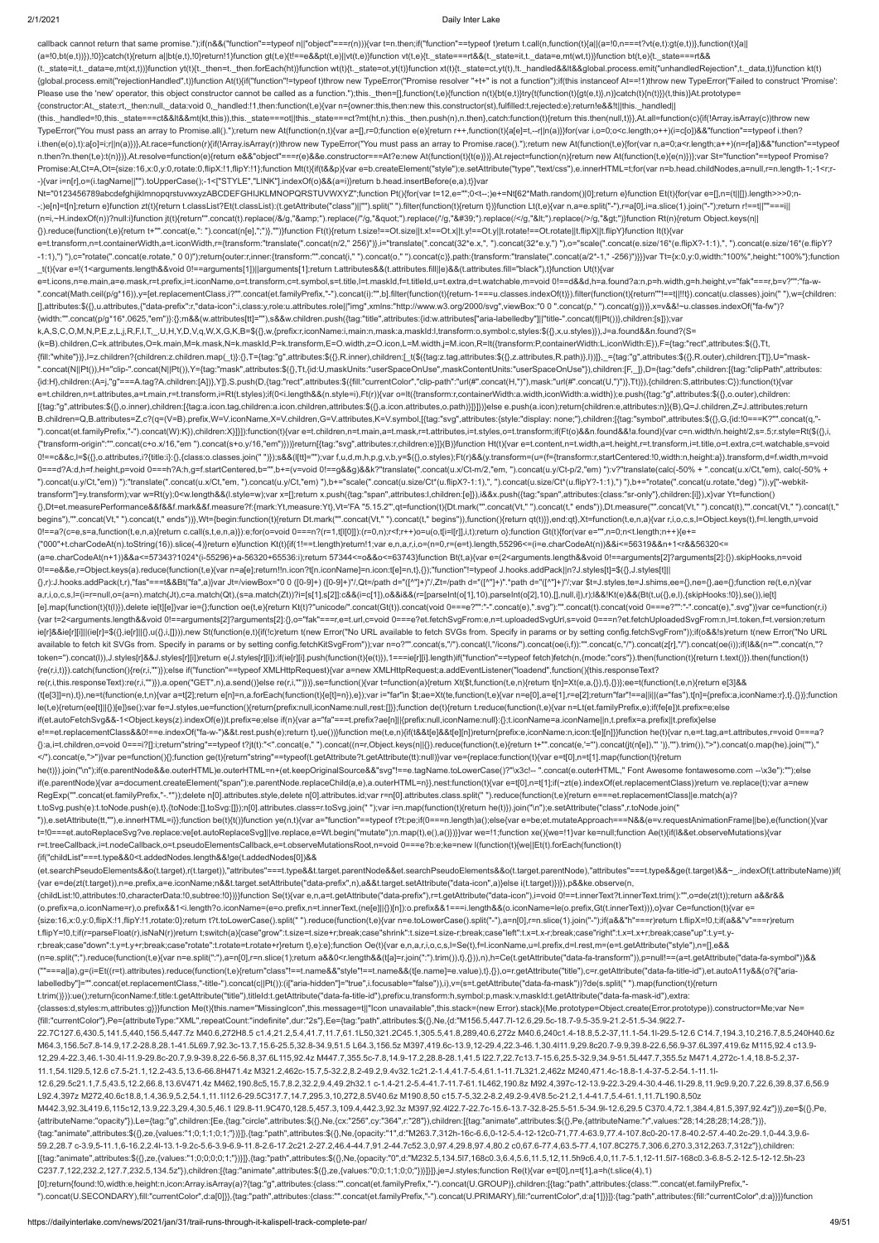callback cannot return that same promise.");if(n&&("function"==typeof n||"object"===r(n))){var t=n.then;if("function"==typeof t)return t.call(n,function(t){a||(a=!0,n===t?vt(e,t):gt(e,t))},function(t){a|| (a=!0,bt(e,t))}),!0}}catch(t){return a||bt(e,t),!0}return!1}function gt(t,e){t!==e&&pt(t,e)||vt(t,e)}function vt(t,e){t.\_state===rt&&(t.\_state=it,t.\_data=e,mt(wt,t))}function bt(t,e){t.\_state===rt&& (t.\_state=it,t.\_data=e,mt(xt,t))}function yt(t){t.\_then=t.\_then.forEach(ht)}function wt(t){t.\_state=ot,yt(t)}function xt(t){t.\_state=ct,yt(t)}function xt(t){t.\_state=ct,yt(t)}function xt(t){t.\_state=ct,yt(t)}function xt(t) {global.process.emit("rejectionHandled",t)}function At(t){if("function"!=typeof t)throw new TypeError("Promise resolver "+t+" is not a function");if(this instanceof At==!1)throw new TypeError("Failed to construct 'Promise': Please use the 'new' operator, this object constructor cannot be called as a function.");this.\_then=[],function(t,e){function n(t){bt(e,t)}try{t(function(t){gt(e,t)},n)}catch(t){n(t)}}(t,this)}At.prototype= {constructor:At, state:rt, then:null, data:void 0, handled:!1,then:function(t,e){var n={owner:this,then:new this.constructor(st),fulfilled:t,rejected:e};return!e&&!t||this. handled|| (this.\_handled=!0,this.\_state===ct&&lt&&mt(kt,this)),this.\_state===ot||this.\_state===ct?mt(ht,n):this.\_then.push(n),n.then},catch:function(t){return this.then(null,t)}},At.all=function(c){if(!Array.isArray(c))throw new TypeError("You must pass an array to Promise.all().");return new At(function(n,t){var a=[],r=0;function e(e){return r++,function(t){a[e]=t,--r||n(a)}}for(var i,o=0;o<c.length;o++)(i=c[o])&&"function"==typeof i.then? i.then(e(o),t):a[o]=i;r||n(a)})},At.race=function(r){if(!Array.isArray(r))throw new TypeError("You must pass an array to Promise.race().");return new At(function(t,e){for(var n,a=0;a<r.length;a++)(n=r[a])&&"function"==type n.then?n.then(t,e):t(n)})},At.resolve=function(e){return e&&"object"===r(e)&&e.constructor===At?e:new At(function(t){t(e)})},At.reject=function(n){return new At(function(t,e){e(n)})};var St="function"==typeof Promise? Promise:At,Ct=A,Ot={size:16,x:0,y:0,rotate:0,flipX:!1,flipY:!1};function Mt(t){if(t&&p){var e=b.createElement("style");e.setAttribute("type","text/css"),e.innerHTML=t;for(var n=b.head.childNodes,a=null,r=n.length-1;-1<r;r- -){var i=n[r],o=(i.tagName||"").toUpperCase();-1<["STYLE","LINK"].indexOf(o)&&(a=i)}return b.head.insertBefore(e,a),t}}var Nt="0123456789abcdefghijklmnopqrstuvwxyzABCDEFGHIJKLMNOPQRSTUVWXYZ";function Pt(){for(var t=12,e="";0<t--;)e+=Nt[62\*Math.random()|0];return e}function Et(t){for(var e=[],n=(t||[]).length>>>0;n- -;)e[n]=t[n];return e}function zt(t){return t.classList?Et(t.classList):(t.getAttribute("class")||"").split(" ").filter(function(t){return t)}}function Lt(t,e){var n,a=e.split("-"),r=a[0],i=a.slice(1).join("-");return r!== (n=i,~H.indexOf(n))?null:i}function jt(t){return"".concat(t).replace(/&/g,"&").replace(/"/g,""").replace(/'/g,"'").replace(/</g,"&lt;").replace(/>/g,"&dt;"}}function Rt(n){return Object.keys(n|| {}).reduce(function(t,e){return t+"".concat(e,": ").concat(n[e],";")},"")}function Ft(t){return t.size!==Ot.size||t.x!==Ot.x||t.y!==Ot.y||t.rotate!==Ot.rotate||t.flipX||t.flipY}function It(t){var e=t.transform,n=t.containerWidth,a=t.iconWidth,r={transform:"translate(".concat(n/2," 256)")},i="translate(".concat(32\*e.x,", ").concat(32\*e.y,") "),o="scale(".concat(e.size/16\*(e.flipX?-1:1),", ").concat(e.size/16\*(e.flip -1:1),") "),c="rotate(".concat(e.rotate," 0 0)");return{outer:r,inner:{transform:"".concat(i," ").concat(o," ").concat(c)},path:{transform:"transform:"translate(".concat(a/2\*-1,"-256)")}}}var Tt={x:0,y:0,width:"100%",heigh \_t(t){var e=!(1<arguments.length&&void 0!==arguments[1])||arguments[1];return t.attributes&&(t.attributes.fill||e)&&(t.attributes.fill="black"),t}function Ut(t){var e=t.icons,n=e.main,a=e.mask,r=t.prefix,i=t.iconName,o=t.transform,c=t.symbol,s=t.title,l=t.maskId,f=t.titleId,u=t.extra,d=t.watchable,m=void 0!==d&&d,h=a.found?a:n,p=h.width,g=h.height,v="fak"===r,b=v?"":"fa-w- ".concat(Math.ceil(p/g\*16)),y=[et.replacementClass,i?"".concat(et.familyPrefix,"-").concat(i):"",b].filter(function(t){return-1===u.classes.indexOf(t)}).filter(function(t){return"!==t|!!!!}).concat(u.classes).join(""),w={c [],attributes:\$({},u.attributes,{"data-prefix":r,"data-icon":i,class:y,role:u.attributes.role||"img",xmlns:"http://www.w3.org/2000/svg",viewBox:"0 0 ".concat(p," ").concat(g)})},x=v&&!~u.classes.indexOf("fa-fw")? {width:"".concat(p/g\*16\*.0625,"em")}:{};m&&(w.attributes[tt]=""),s&&w.children.push({tag:"title",attributes:{id:w.attributes["aria-labelledby"]||"title-".concat(f||Pt())},children:[s]});var k,A,S,C,O,M,N,P,E,z,L,j,R,F,I,T,\_,U,H,Y,D,V,q,W,X,G,K,B=\$({},w,{prefix:r,iconName:i,main:n,mask:a,maskId:l,transform:o,symbol:c,styles:\$({},x,u.styles)}),J=a.found&&n.found?(S= (k=B).children,C=k.attributes,O=k.main,M=k.mask,N=k.maskId,P=k.transform,E=O.width,z=O.icon,L=M.width,j=M.icon,R=It({transform:P,containerWidth:L,iconWidth:E}),F={tag:"rect",attributes:\$({},Tt, {fill:"white"})},l=z.children?{children:z.children.map(\_t)}:{},T={tag:"g",attributes:\$({},R.inner),children:[\_t(\$({tag:z.tag,attributes:\$({},R.attributes:\$({},R.attributes:\$({},attributes:\$({},R.attributes:\$({},R.outer),ch ".concat(N||Pt()),H="clip-".concat(N||Pt()),Y={tag:"mask",attributes:\$({},Tt,{id:U,maskUnits:"userSpaceOnUse",maskContentUnits:"userSpaceOnUse"}),children:[F,\_]},D={tag:"defs",children:[{tag:"clipPath",attributes: {id:H},children:(A=j,"g"===A.tag?A.children:[A])},Y]},S.push(D,{tag:"rect",attributes:\$({fill:"currentColor","clip-path":"url(#".concat(H,")"),mask:"url(#".concat(U,")")},Tt)}),{children:S,attributes:C}):function(t){var e=t.children,n=t.attributes,a=t.main,r=t.transform,i=Rt(t.styles);if(0<i.length&&(n.style=i),Ft(r)){var o=It({transform:r,containerWidth:a.width,iconWidth:a.width});e.push({tag:"g",attributes:\$({},o.outer),children: [{tag:"g",attributes:\$({},o.inner),children:[{tag:a.icon.tag,children:a.icon.children,attributes:\$({},a.icon.attributes,o.path)}]}]})}else e.push(a.icon);return{children:e,attributes:n}}(B),Q=J.children,Z=J.attributes;return B.children=Q,B.attributes=Z,c?(q=(V=B).prefix,W=V.iconName,X=V.children,G=V.attributes,K=V.symbol,[{tag:"svg",attributes:{style:"display: none;"},children:[{tag:"symbol",attributes:\$({},G,{id:!0===K?"".concat(q,"- ").concat(et.familyPrefix,"-").concat(W):K}),children:X}]}]):function(t){var e=t.children,n=t.main,a=t.mask,r=t.attributes,i=t.styles,o=t.transform;if(Ft(o)&&n.found&&!a.found){var c=n.width/n.height/2,s=.5;r.style=Rt(\${{} {"transform-origin":"".concat(c+o.x/16,"em ").concat(s+o.y/16,"em")}))}return[{tag:"svg",attributes:r,children:e}]}(B)}function Ht(t){var e=t.content,n=t.width,a=t.height,r=t.transform,i=t.title,o=t.extra,c=t.watchable,s=v 0!==c&&c,l=\$({},o.attributes,i?{title:i}:{},{class:o.classes.join(" ")});s&&(l[tt]="");var f,u,d,m,h,p,g,v,b,y=\$({},o.styles);Ft(r)&&(y.transform=(u=(f={transform:r,startCentered:!0,width:n,height:a}).transform,d=f.width,m 0===d?A:d,h=f.height,p=void 0===h?A:h,g=f.startCentered,b="",b+=(v=void 0!==g&&g)&&k?"translate(".concat(u.x/Ct-m/2,"em, ").concat(u.y/Ct-p/2,"em) "):v?"translate(calc(-50% + ".concat(u.x/Ct,"em), calc(-50% + ").concat(u.y/Ct,"em)) "):"translate(".concat(u.x/Ct,"em, ").concat(u.y/Ct,"em) "),b+="scale(".concat(u.size/Ct\*(u.flipX?-1:1),", ").concat(u.size/Ct\*(u.flipY?-1:1),") "),b+="rotate(".concat(u.rotate,"deg) ")),y["-webkittransform"]=y.transform);var w=Rt(y);0<w.length&&(l.style=w);var x=[];return x.push({tag:"span",attributes:l,children:[e]}),i&&x.push({tag:"span",attributes:{class:"sr-only"},children:[i]}),x}var Yt=function() {},Dt=et.measurePerformance&&f&&f.mark&&f.measure?f:{mark:Yt,measure:Yt},Vt='FA "5.15.2"',qt=function(t){Dt.mark("".concat(Vt," ").concat(t," ends")),Dt.measure("".concat(Vt," ").concat(t),"".concat(Vt," ").concat(t," begins"),"".concat(Vt," ").concat(t," ends"))},Wt={begin:function(t){return Dt.mark("".concat(Vt," ").concat(t," begins")),function(){return qt(t)}},end:qt},Xt=function(t,e,n,a){var r,i,o,c,s,l=Object.keys(t),f=l.length,u= 0!==a?(c=e,s=a,function(t,e,n,a){return c.call(s,t,e,n,a)}):e;for(o=void 0===n?(r=1,t[l[0]]):(r=0,n);r<f;r++)o=u(o,t[i=l[r]],i,t);return o};function Gt(t){for(var e="",n=0;n<t.length;n++){e+= ("000"+t.charCodeAt(n).toString(16)).slice(-4)}return e}function Kt(t){if(1!==t.length)return!1;var e,n,a,r,i,o=(n=0,r=(e=t).length,55296<=(i=e.charCodeAt(n))&&i<=56319&&n+1<r&&56320<= (a=e.charCodeAt(n+1))&&a<=57343?1024\*(i-55296)+a-56320+65536:i);return 57344<=o&&o<=63743}function Bt(t,a){var e=(2<arguments.length&&void 0!==arguments[2]?arguments[2]:{}).skipHooks,n=void 0!==e&&e,r=Object.keys(a).reduce(function(t,e){var n=a[e];return!!n.icon?t[n.iconName]=n.icon:t[e]=n,t},{});"function"!=typeof J.hooks.addPack||n?J.styles[t]=\$({},J.styles[t]||  $\{1, r\}$ ).hooks.addPack(t,r),"fas"===t&&Bt("fa",a)}var Jt=/viewBox="0 0 ([0-9]+)"(,Qt=/path d="([^"]+)"/,Zt=/path d="([^"]+)".\*path d="([^"]+)"/;var \$t=J.styles,te=J.shims,ee={},ne={},ae={};function re(t,e,n){var (f(e,n) a,r,i,o,c,s,l=(i=r=null,o=(a=n).match(Jt),c=a.match(Qt),(s=a.match(Zt))?i=[s[1],s[2]]:c&&(i=c[1]),o&&i&&(r=[parseInt(o[1],10),parseInt(o[2],10),[],null,i]),r);l&&!Kt(e)&&(Bt(t,u({},e,l),{skipHooks:!0}),se()),ie[t] [e].map(function(t){t(l)}),delete ie[t][e]}var ie={};function oe(t,e){return Kt(t)?"unicode/".concat(Gt(t)).concat(void 0===e?"":"-".concat(e),".svg"):"".concat(t).concat(toid 0===e?"":"-".concat(e),".svg")}var ce=function {var t=2<arguments.length&&void 0!==arguments[2]?arguments[2]:{},o="fak"===r,e=t.url,c=void 0===e?et.fetchSvgFrom:e,n=t.uploadedSvgUrl,s=void 0===n?et.fetchUploadedSvgFrom:n,l=t.token,f=t.version;return ie[r]&&ie[r][i]]|(ie[r]=\$({},ie[r]||{},u({},i,[]))),new St(function(e,t){if(!c)return t(new Error("No URL available to fetch SVGs from. Specify in params or by setting config.fetchSvgFrom"));if(o&&!s)return t(new Error("No available to fetch kit SVGs from. Specify in params or by setting config.fetchKitSvgFrom"));var n=o?"".concat(s,"/").concat(l,"/icons/").concat(oe(i,f)):"".concat(oe(")"".concat(z[r],"/").concat(oe(i));if(l&&(n="".concat(n token=").concat(l)),J.styles[r]&&J.styles[r][i])return e(J.styles[r][i]);if(ie[r][i].push(function(t){e(t)}),1===ie[r][i].length)if("function"==typeof fetch)fetch(n,{mode:"cors"}).then(function(t){return t.text()}).then(fu {re(r,i,t)}).catch(function(){re(r,i,"")});else if("function"==typeof XMLHttpRequest){var a=new XMLHttpRequest;a.addEventListener("loadend",function(){this.responseText? re(r,i,this.responseText):re(r,i,"")}),a.open("GET",n),a.send()}else re(r,i,"")})},se=function(){var t=function(a){return Xt(\$t,function(t,e,n){return t[n]=Xt(e,a,{}),t},{})};ee=t(function(t,e,n){return e[3]&& (t[e[3]]=n),t}),ne=t(function(e,t,n){var a=t[2];return e[n]=n,a.forEach(function(t){e[t]=n}),e});var i="far"in \$t;ae=Xt(te,function(t,e){var n=e[0],a=e[1],r=e[2];return"far"!==a||i||(a="fas"),t[n]={prefix:a,iconName:r},t}, le(t,e){return(ee[t]||{})[e]}se();var fe=J.styles,ue=function(){return{prefix:null,iconName:null,rest:[]}};function de(t){return t.reduce(function(t,e){var n=Lt(et.familyPrefix,e);if(fe[e])t.prefix=e;else if(et.autoFetchSvg&&-1<Object.keys(z).indexOf(e))t.prefix=e;else if(n){var a="fa"===t.prefix?ae[n]||{prefix:null,iconName:null}:{};t.iconName=a.iconName||n,t.prefix=a.prefix||t.prefix}else e!==et.replacementClass&&0!==e.indexOf("fa-w-")&&t.rest.push(e);return t},ue())}function me(t,e,n){if(t&&t[e]&&t[e][n])return{prefix:e,iconName:n,icon:t[e][n]}}function he(t){var n,e=t.tag,a=t.attributes,r=void 0===a? {}:a,i=t.children,o=void 0===i?[]:i;return"string"==typeof t?jt(t):"<".concat(e," ").concat((n=r,Object.keys(n||{}).reduce(function(t,e){return t+"".concat(e,'=").concat(jt(n[e]),"")},"").trim()),">").concat(o.map(he).join </").concat(e,">")}var pe=function(){};function ge(t){return"string"==typeof(t.getAttribute?t.getAttribute(tt):null)}var ve={replace:function(t){var e=t[0],n=t[1].map(function(t){return he(t)}).join("\n");if(e.parentNode&&e.outerHTML)e.outerHTML=n+(et.keepOriginalSource&&"svg"!==e.tagName.toLowerCase()?"\x3c!-- ".concat(e.outerHTML," Font Awesome fontawesome.com --\x3e"):"");else if(e.parentNode){var a=document.createElement("span");e.parentNode.replaceChild(a,e),a.outerHTML=n}},nest:function(t){var e=t[0],n=t[1];if(~zt(e).indexOf(et.replacementClass))return ve.replace(t);var a=new RegExp("".concat(et.familyPrefix,"-.\*"));delete n[0].attributes.style,delete n[0].attributes.id;var r=n[0].attributes.class.split(" ").reduce(function(t,e){return e===et.replacementClass||e.match(a)? t.toSvg.push(e):t.toNode.push(e),t},{toNode:[],toSvg:[]});n[0].attributes.class=r.toSvg.join(" ");var i=n.map(function(t){return he(t)}).join("\n");e.setAttribute("class",r.toNode.join(" ")),e.setAttribute(tt,""),e.innerHTML=i}};function be(t){t()}function ye(n,t){var a="function"==typeof t?t:pe;if(0===n.length)a();else{var e=be;et.mutateApproach===N&&(e=v.requestAnimationFrame||be),e(function(){var t=!0===et.autoReplaceSvg?ve.replace:ve[et.autoReplaceSvg]||ve.replace,e=Wt.begin("mutate");n.map(t),e(),a()})}}var we=!1;function xe(){we=!1}var ke=null;function Ae(t){if(l&&et.observeMutations){var r=t.treeCallback,i=t.nodeCallback,o=t.pseudoElementsCallback,e=t.observeMutationsRoot,n=void 0===e?b:e;ke=new l(function(t){we||Et(t).forEach(function(t) {if("childList"===t.type&&0<t.addedNodes.length&&!ge(t.addedNodes[0])&&

(et.searchPseudoElements&&o(t.target),r(t.target)),"attributes"===t.type&&t.target.parentNode&&et.searchPseudoElements&&o(t.target.parentNode),"attributes"===t.type&&ge(t.target)&&~\_.indexOf(t.attributeName))if( {var e=de(zt(t.target)),n=e.prefix,a=e.iconName;n&&t.target.setAttribute("data-prefix",n),a&&t.target.setAttribute("data-icon",a)}else i(t.target)})}),p&&ke.observe(n, {childList:!0,attributes:!0,characterData:!0,subtree:!0})}}function Se(t){var e,n,a=t.getAttribute("data-prefix"),r=t.getAttribute("data-icon"),i=void 0!==t.innerText?t.innerText.trim():"",o=de(zt(t));return a&&r&& (o.prefix=a,o.iconName=r),o.prefix&&1<i.length?o.iconName=(e=o.prefix,n=t.innerText,(ne[e]||{})[n]):o.prefix&&1===i.length&&(o.iconName=le(o.prefix,Gt(t.innerText))),o}var Ce=function(t){var e= {size:16,x:0,y:0,flipX:!1,flipY:!1,rotate:0};return t?t.toLowerCase().split(" ").reduce(function(t,e){var n=e.toLowerCase().split("-"),a=n[0],r=n.slice(1).join("-");if(a&&"h"===r)return t.flipX=!0,t;if(a&&"v"===r)return t.flipY=!0,t;if(r=parseFloat(r),isNaN(r))return t;switch(a){case"grow":t.size=t.size+r;break;case"shrink":t.size=t.size-r;break;case"left":t.x=t.x-r;break;case"right":t.x=t.x+r;break;case"up":t.y=t.y-

r;break;case"down":t.y=t.y+r;break;case"rotate":t.rotate=t.rotate+r}return t},e):e};function Oe(t){var e,n,a,r,i,o,c,s,l=Se(t),f=l.iconName,u=l.prefix,d=l.rest,m=(e=t.getAttribute("style"),n=[],e&& (n=e.split(";").reduce(function(t,e){var n=e.split(":"),a=n[0],r=n.slice(1);return a&&0<r.length&&(t[a]=r.join(":").trim()),t},{})),n),h=Ce(t.getAttribute("data-fa-transform")),p=null!==(a=t.getAttribute("data-fa-symbol"))&& (""===a||a),g=(i=Et((r=t).attributes).reduce(function(t,e){return"class"!==t.name&&"style"!==t.name&&(t[e.name]=e.value),t},{}),o=r.getAttribute("title"),c=r.getAttribute("data-fa-title-id"),et.autoA11y&&(o?i["arialabelledby"]="".concat(et.replacementClass,"-title-").concat(c||Pt()):(i["aria-hidden"]="true",i.focusable="false")),i),v=(s=t.getAttribute("data-fa-mask"))?de(s.split(" ").map(function(t){return t.trim()})):ue();return{iconName:f,title:t.getAttribute("title"),titleId:t.getAttribute("data-fa-title-id"),prefix:u,transform:h,symbol:p,mask:v,maskId:t.getAttribute("data-fa-mask-id"),extra: {classes:d,styles:m,attributes:g}}}function Me(t){this.name="MissingIcon",this.message=t||"Icon unavailable",this.stack=(new Error).stack}(Me.prototype=Object.create(Error.prototype)).constructor=Me;var Ne= {fill:"currentColor"},Pe={attributeType:"XML",repeatCount:"indefinite",dur:"2s"},Ee={tag:"path",attributes:\$({},Ne,{d:"M156.5,447.7l-12.6,29.5c-18.7-9.5-35.9-21.2-51.5-34.9l22.7- 22.7C127.6,430.5,141.5,440,156.5,447.7z M40.6,272H8.5 c1.4,21.2,5.4,41.7,11.7,61.1L50,321.2C45.1,305.5,41.8,289,40.6,272z M40.6,240c1.4-18.8,5.2-37,11.1-54.1l-29.5-12.6 C14.7,194.3,10,216.7,8.5,240H40.6z M64.3,156.5c7.8-14.9,17.2-28.8,28.1-41.5L69.7,92.3c-13.7,15.6-25.5,32.8-34.9,51.5 L64.3,156.5z M397,419.6c-13.9,12-29.4,22.3-46.1,30.4l11.9,29.8c20.7-9.9,39.8-22.6,56.9-37.6L397,419.6z M115,92.4 c13.9- 12,29.4-22.3,46.1-30.4l-11.9-29.8c-20.7,9.9-39.8,22.6-56.8,37.6L115,92.4z M447.7,355.5c-7.8,14.9-17.2,28.8-28.1,41.5 l22.7,22.7c13.7-15.6,25.5-32.9,34.9-51.5L447.7,355.5z M471.4,272c-1.4,18.8-5.2,37- 11.1,54.1l29.5,12.6 c7.5-21.1,12.2-43.5,13.6-66.8H471.4z M321.2,462c-15.7,5-32.2,8.2-49.2,9.4v32.1c21.2-1.4,41.7-5.4,61.1-11.7L321.2,462z M240,471.4c-18.8-1.4-37-5.2-54.1-11.1l-12.6,29.5c21.1,7.5,43.5,12.2,66.8,13.6V471.4z M462,190.8c5,15.7,8.2,32.2,9.4,49.2h32.1 c-1.4-21.2-5.4-41.7-11.7-61.1L462,190.8z M92.4,397c-12-13.9-22.3-29.4-30.4-46.1l-29.8,11.9c9.9,20.7,22.6,39.8,37.6,56.9 L92.4,397z M272,40.6c18.8,1.4,36.9,5.2,54.1,11.1l12.6-29.5C317.7,14.7,295.3,10,272,8.5V40.6z M190.8,50 c15.7-5,32.2-8.2,49.2-9.4V8.5c-21.2,1.4-41.7,5.4-61.1,11.7L190.8,50z M442.3,92.3L419.6,115c12,13.9,22.3,29.4,30.5,46.1 l29.8-11.9C470,128.5,457.3,109.4,442.3,92.3z M397,92.4l22.7-22.7c-15.6-13.7-32.8-25.5-51.5-34.9l-12.6,29.5 C370.4,72.1,384.4,81.5,397,92.4z"})},ze=\$({},Pe, {attributeName:"opacity"}),Le={tag:"g",children:[Ee,{tag:"circle",attributes:\$({},Ne,{cx:"256",cy:"364",r:"28"}),children:[{tag:"animate",attributes:\$({},Pe,{attributeName:"r",values:"28;14;28;28;14;28;"})}, {tag:"animate",attributes:\$({},ze,{values:"1;0;1;1;0;1;"})}]},{tag:"path",attributes:\$({},Ne,{opacity:"1",d:"M263.7,312h-16c-6.6,0-12-5.4-12-12c0-71,77.4-63.9,77.4-107.8c0-20-17.8-40.2-57.4-40.2c-29.1,0-44.3,9.6- 59.2,28.7 c-3.9,5-11.1,6-16.2,2.4l-13.1-9.2c-5.6-3.9-6.9-11.8-2.6-17.2c21.2-27.2,46.4-44.7,91.2-44.7c52.3,0,97.4,29.8,97.4,80.2 c0,67.6-77.4,63.5-77.4,107.8C275.7,306.6,270.3,312,263.7,312z"}),children: [{tag:"animate",attributes:\$({},ze,{values:"1;0;0;0;0;1;"})}]},{tag:"path",attributes:\$({},Ne,{opacity:"0",d:"M232.5,134.5l7,168c0.3,6.4,5.6,11.5,12,11.5h9c6.4,0,11.7-5.1,12-11.5l7-168c0.3-6.8-5.2-12.5-12-12.5h-23 C237.7,122,232.2,127.7,232.5,134.5z"}),children:[{tag:"animate",attributes:\$({},ze,{values:"0;0;1;1;0;0;"})}]}]},je=J.styles;function Re(t){var e=t[0],n=t[1],a=h(t.slice(4),1) [0];return{found:!0,width:e,height:n,icon:Array.isArray(a)?{tag:"g",attributes:{class:"".concat(et.familyPrefix,"-").concat(U.GROUP)},children:[{tag:"path",attributes:{class:"".concat(et.familyPrefix,"- ").concat(U.SECONDARY),fill:"currentColor",d:a[0]}},{tag:"path",attributes:{class:"".concat(et.familyPrefix,"-").concat(U.PRIMARY),fill:"currentColor",d:a[1]}}]}:{tag:"path",attributes:{fill:"currentColor",d:a}}}}function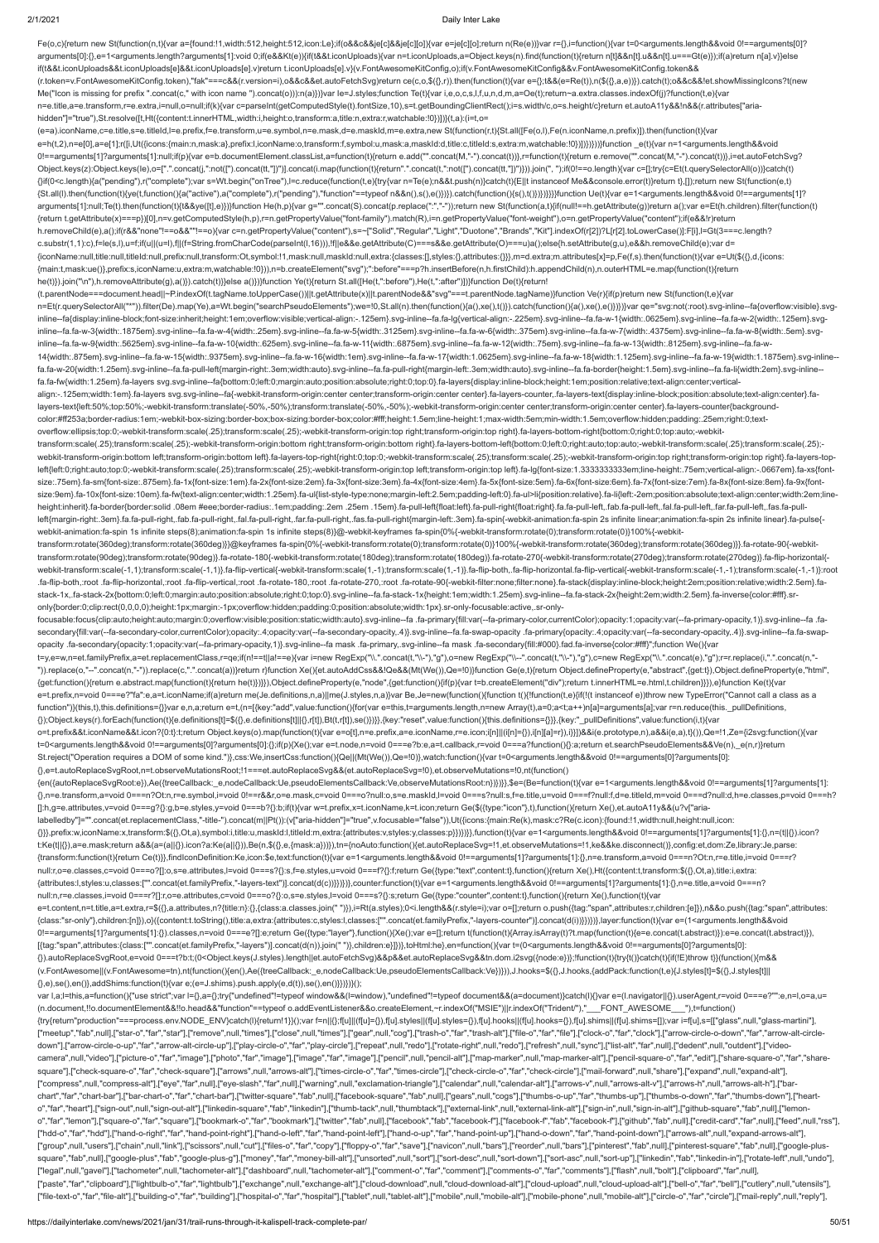Fe(o,c){return new St(function(n,t){var a={found:!1,width:512,height:512,icon:Le};if(o&&c&&je[c]&&je[c][o]){var e=je[c][o];return n(Re(e))}var r={},i=function(){var t=0<arguments.length&&void 0!==arguments[0]? arguments[0]:{},e=1<arguments.length?arguments[1]:void 0;if(e&&Kt(e)){if(t&&t.iconUploads){var n=t.iconUploads,a=Object.keys(n).find(function(t){return n[t]&&n[t].u&&n[t].u===Gt(e)});if(a)return n[a].v}}else if(t&&t.iconUploads&&t.iconUploads[e]&&t.iconUploads[e].v)return t.iconUploads[e].v}(v.FontAwesomeKitConfig,o);if(v.FontAwesomeKitConfig&&v.FontAwesomeKitConfig.token&& (r.token=v.FontAwesomeKitConfig.token),"fak"===c&&(r.version=i),o&&c&&et.autoFetchSvg)return ce(c,o,\$({},r)).then(function(t){var e={};t&&(e=Re(t)),n(\$({},a,e))}).catch(t);o&&c&&!et.showMissingIcons?t(new Me("Icon is missing for prefix ".concat(c," with icon name ").concat(o))):n(a)})}var le=J.styles;function Te(t){var i,e,o,c,s,l,f,u,n,d,m,a=Oe(t);return~a.extra.classes.indexOf(j)?function(t,e){var n=e.title,a=e.transform,r=e.extra,i=null,o=null;if(k){var c=parseInt(getComputedStyle(t).fontSize,10),s=t.getBoundingClientRect();i=s.width/c,o=s.height/c}return et.autoA11y&&!n&&(r.attributes["ariahidden"]="true"),St.resolve([t,Ht({content:t.innerHTML,width:i,height:o,transform:a,title:n,extra:r,watchable:!0})])}(t,a):(i=t,o=

(t.parentNode===document.head||~P.indexOf(t.tagName.toUpperCase())||t.getAttribute(x)||t.parentNode&&"svg"===t.parentNode.tagName)}function Ve(r){if(p)return new St(function(t,e){var n=Et(r.querySelectorAll("\*")).filter(De).map(Ye),a=Wt.begin("searchPseudoElements");we=!0,St.all(n).then(function(){a(),xe(),t()}).catch(function(){a(),xe(),e()})}})var qe="svg:not(:root).svg-inline--fa{overflow:visible}.s inline--fa{display:inline-block;font-size:inherit;height:1em;overflow:visible;vertical-align:-.125em}.svg-inline--fa.fa-lg{vertical-align:-.225em}.svg-inline--fa.fa-w-1{width:.0625em}.svg-inline--fa.fa-w-2{width:.125em}.sv inline--fa.fa-w-3{width:.1875em}.svg-inline--fa.fa-w-4{width:.25em}.svg-inline--fa.fa-w-5{width:.3125em}.svg-inline--fa.fa-w-6{width:.375em}.svg-inline--fa.fa-w-7{width:.4375em}.svg-inline--fa.fa-w-8{width:.5em}.svg-inline inline--fa.fa-w-9{width:.5625em}.svg-inline--fa.fa-w-10{width:.625em}.svg-inline--fa.fa-w-11{width:.6875em}.svg-inline--fa.fa-w-12{width:.75em}.svg-inline--fa.fa-w-12{width:.625em}.svg-inline--fa.fa-w-13{width:.75em}.svg-i 14{width:.875em}.svg-inline--fa.fa-w-15{width:.9375em}.svg-inline--fa.fa-w-16{width:1em}.svg-inline--fa.fa-w-17{width:1.0625em}.svg-inline--fa.fa-w-18{width:1.125em}.svg-inline--fa.fa-w-19{width:1.1875em}.svg-inline- fa.fa-w-20{width:1.25em}.svg-inline--fa.fa-pull-left{margin-right:.3em;width:auto}.svg-inline--fa.fa-pull-right{margin-left:.3em;width:auto}.svg-inline--fa.fa-border{height:1.5em}.svg-inline--fa.fa-li{width:2em}.svg-inline- fa.fa-fw{width:1.25em}.fa-layers svg.svg-inline--fa{bottom:0;left:0;margin:auto;position:absolute;right:0;top:0}.fa-layers{display:inline-block;height:1em;position:relative;text-align:center;verticalalign:-.125em;width:1em}.fa-layers svg.svg-inline--fa{-webkit-transform-origin:center center;transform-origin:center center}.fa-layers-counter,.fa-layers-text{display:inline-block;position:absolute;text-align:center}.fa-

(e=a).iconName,c=e.title,s=e.titleId,l=e.prefix,f=e.transform,u=e.symbol,n=e.mask,d=e.maskId,m=e.extra,new St(function(r,t){St.all([Fe(o,l),Fe(n.iconName,n.prefix)]).then(function(t){var e=h(t,2),n=e[0],a=e[1];r([i,Ut({icons:{main:n,mask:a},prefix:l,iconName:o,transform:f,symbol:u,mask:a,maskId:d,title:c,titleId:s,extra:m,watchable:!0})])}))))}function \_e(t){var n=1<arguments.length&&void 0!==arguments[1]?arguments[1]:null;if(p){var e=b.documentElement.classList,a=function(t){return e.add("".concat(M,"-").concat(t))},r=function(t){return e.remove("".concat(M,"-").concat(t))},i=et.autoFetchSvg? Object.keys(z):Object.keys(le),o=[".".concat(j,":not([").concat(tt,"])")].concat(i.map(function(t){return".".concat(t,":not([").concat(tt,"])")}).join(", ");if(0!==o.length){var c=[];try{c=Et(t.querySelectorAll(o))}catch(t {}if(0<c.length){a("pending"),r("complete");var s=Wt.begin("onTree"),l=c.reduce(function(t,e){try{var n=Te(e);n&&t.push(n)}catch(t){E||t instanceof Me&&console.error(t)}return t},[]);return new St(function(e,t) {St.all(l).then(function(t){ye(t,function(){a("active"),a("complete"),r("pending"),"function"==typeof n&&n(),s(),e()})}).catch(function(){s(),t()})})}}}}function Ue(t){var e=1<arguments.length&&void 0!==arguments[1]? arguments[1]:null;Te(t).then(function(t){t&&ye([t],e)})}function He(h,p){var g="".concat(S).concat(p.replace(":","-"));return new St(function(a,t){if(null!==h.getAttribute(g))return a();var e=Et(h.children).filter(function {return t.getAttribute(x)===p})[0],n=v.getComputedStyle(h,p),r=n.getPropertyValue("font-family").match(R),i=n.getPropertyValue("font-weight"),o=n.getPropertyValue("content");if(e&&!r)return h.removeChild(e),a();if(r&&"none"!==o&&""!==o){var c=n.getPropertyValue("content"),s=~["Solid","Regular","Light","Duotone","Brands","Kit"].indexOf(r[2])?L[r[2].toLowerCase()]:F[i],l=Gt(3===c.length? c.substr(1,1):c),f=le(s,l),u=f;if(u||(u=l),f||(f=String.fromCharCode(parseInt(l,16))),!f||e&&e.getAttribute(C)===s&&e.getAttribute(O)===u)a();else{h.setAttribute(g,u),e&&h.removeChild(e);var d= {iconName:null,title:null,titleId:null,prefix:null,transform:Ot,symbol:!1,mask:null,maskId:null,extra:{classes:[],styles:{},attributes:{}}},m=d.extra;m.attributes[x]=p,Fe(f,s).then(function(t){var e=Ut(\$({},d,{icons: {main:t,mask:ue()},prefix:s,iconName:u,extra:m,watchable:!0})),n=b.createElement("svg");":before"===p?h.insertBefore(n,h.firstChild):h.appendChild(n),n.outerHTML=e.map(function(t){return he(t)}).join("\n"),h.removeAttribute(g),a()}).catch(t)}}else a()})}function Ye(t){return St.all([He(t,":before"),He(t,":after")])}function De(t){return!

transform:scale(.25);transform:scale(.25);-webkit-transform-origin:bottom right;transform-origin:bottom right}.fa-layers-bottom-left{bottom:0;left:0;right:auto;top:auto;-webkit-transform:scale(.25);transform:scale(.25); webkit-transform-origin:bottom left;transform-origin:bottom left}.fa-layers-top-right{right:0;top:0;-webkit-transform:scale(.25);transform:scale(.25);-webkit-transform-origin:top right;transform-origin:top right}.fa-layers left{left:0;right:auto;top:0;-webkit-transform:scale(.25);transform:scale(.25);-webkit-transform-origin:top left;transform-origin:top left}.fa-lg{font-size:1.3333333333em;line-height:.75em;vertical-align:-.0667em}.fa-xs{fontsize:.75em}.fa-sm{font-size:.875em}.fa-1x{font-size:1em}.fa-2x{font-size:2em}.fa-3x{font-size:3em}.fa-4x{font-size:4em}.fa-5x{font-size:5em}.fa-6x{font-size:6em}.fa-6x{font-size:6em}.fa-6x{font-size:6em}.fa-8x{font-size:6e size:9em}.fa-10x{font-size:10em}.fa-fw{text-align:center;width:1.25em}.fa-ul{list-style-type:none;margin-left:2.5em;padding-left:0}.fa-ul>li{position:relative}.fa-li{left:-2em;position:absolute;text-align:center;width:2em; height:inherit}.fa-border{border:solid .08em #eee;border-radius:.1em;padding:.2em .25em .15em}.fa-pull-left{float:left}.fa-pull-right{float:right}.fa.fa-pull-left,.fab.fa-pull-left,.fab.fa-pull-left,.far.fa-pull-left,.far. left{margin-right:.3em}.fa.fa-pull-right,.fab.fa-pull-right,.fal.fa-pull-right,.fal.fa-pull-right,.far.fa-pull-right,.far.fa-pull-right,.fas.fa-pull-right,fas.fa-pull-right,fas.fa-pull-right(nargin-left:.3em}.fa-spin{-webk webkit-animation:fa-spin 1s infinite steps(8);animation:fa-spin 1s infinite steps(8)}@-webkit-keyframes fa-spin{0%{-webkit-transform:rotate(0);transform:rotate(0)}100%{-webkit-

focusable:focus{clip:auto;height:auto;margin:0;overflow:visible;position:static;width:auto}.svg-inline--fa .fa-primary{fill:var(--fa-primary-color,currentColor);opacity:1;opacity:1-a-primary-opacity,1)}.svg-inline--fa .fasecondary{fill:var(--fa-secondary-color,currentColor);opacity:.4;opacity:var(--fa-secondary-opacity,.4)}.svg-inline--fa.fa-swap-opacity .fa-primary{opacity:.4;opacity:.4;opacity-rar-secondary-opacity,.4)}.svg-inline--fa.fa opacity .fa-secondary{opacity:1;opacity:var(--fa-primary-opacity,1)}.svg-inline--fa mask .fa-primary,.svg-inline--fa mask .fa-secondary{fill:#000}.fad.fa-inverse{color:#fff}";function We(){var

layers-text{left:50%;top:50%;-webkit-transform:translate(-50%,-50%);transform:translate(-50%,-50%);-webkit-transform-origin:center center;transform-origin:center center}.fa-layers-counter{backgroundcolor:#ff253a;border-radius:1em;-webkit-box-sizing:border-box;box-sizing:border-box;color:#fff;height:1.5em;line-height:1;max-width:5em;min-width:1.5em;overflow:hidden;padding:.25em;right:0;textoverflow:ellipsis;top:0;-webkit-transform:scale(.25);transform:scale(.25);-webkit-transform-origin:top right;transform-origin:top right}.fa-layers-bottom-right{bottom:0;right:0;top:auto;-webkit-

null:n,r=e.classes,i=void 0===r?[]:r,o=e.attributes,c=void 0===o?{}:o,s=e.styles,l=void 0===s?{}:s;return Ge({type:"counter",content:t},function(){return Xe(),function(t){var e=t.content,n=t.title,a=t.extra,r=\$({},a.attributes,n?{title:n}:{},{class:a.classes.join(" "})},i=Rt(a.styles);0<i.length&&(r.style=i);var o=[];return o.push({tag:"span",attributes:r,children:[e]}),n&&o.push({tag:"span",at {class:"sr-only"},children:[n]}),o}({content:t.toString(),title:a,extra:{attributes:c,styles:l,classes:["".concat(et.familyPrefix,"-layers-counter")].concat(d(i))}})})},layer:function(t){var e=(1<arguments.length&&void 0!==arguments[1]?arguments[1]:{}).classes,n=void 0===e?[]:e;return Ge({type:"layer"},function(){Xe();var e=[];return t(function(t){Array.isArray(t)?t.map(function(t){e=e.concat(t.abstract)}):e=e.concat(t.abstract)}),

[{tag:"span",attributes:{class:["".concat(et.familyPrefix,"-layers")].concat(d(n)).join(" ")},children:e}]})},toHtml:he},en=function(){var t=(0<arguments.length&&void 0!==arguments[0]?arguments[0]: {}).autoReplaceSvgRoot,e=void 0===t?b:t;(0<Object.keys(J.styles).length||et.autoFetchSvg)&&p&&et.autoReplaceSvg&&tn.dom.i2svg({node:e})};!function(t){try{t()}catch(t){if(!E)throw t}}(function(){m&& (v.FontAwesome||(v.FontAwesome=tn),nt(function(){en(),Ae({treeCallback:\_e,nodeCallback:Ue,pseudoElementsCallback:Ve})})),J.hooks=\$({},J.hooks,{addPack:function(t,e){J.styles[t]=\$({},J.styles[t]|| {},e),se(),en()},addShims:function(t){var e;(e=J.shims).push.apply(e,d(t)),se(),en()}})})}(); var l,a;l=this,a=function(){"use strict";var l={},a={};try{"undefined"!=typeof window&&(l=window),"undefined"!=typeof document&&(a=document)}catch(l){}var e=(l.navigator||{}).userAgent,r=void 0===e?"":e,n=l,o=a,u= (n.document,!!o.documentElement&&!!o.head&&"function"==typeof o.addEventListener&&o.createElement,~r.indexOf("MSIE")||r.indexOf("Trident/"),"\_\_\_FONT\_AWESOME\_\_\_"),t=function() {try{return"production"===process.env.NODE\_ENV}catch(l){return!1}}();var f=n||{};f[u]||(f[u]={}),f[u].styles||(f[u].styles={}),f[u].hooks||(f[u].hooks={}),f[u].shims||(f[u].shims=[]);var i=f[u],s=[["glass",null,"glass-mart ["meetup","fab",null],["star-o","far","star"],["remove",null,"times"],["close",null,"times"],["gear",null,"toog"],["trash-o","far","tarh-alt"],["file-o","far","far","fale"],["clock-o","far","clock"],["arrow-circle-o-down", down"],["arrow-circle-o-up","far","arrow-alt-circle-up"],["play-circle-o","far","play-circle"],["repeat",null,"redo"],["rotate-right",null,"redo"],["refresh",null,"sync"],["list-alt","far",null],["dedent",null,"outdent"],[ camera",null,"video"],["picture-o","far","image"],["photo","far","image"],["image","far","image"],["pencil",null,"pencil-alt"],["map-marker",null,"map-marker-alt"],["pencil-square-o","far","edit"],["share-square-o","far"," square"],["check-square-o","far","check-square"],["arrows",null,"arrows-alt"],["times-circle-o","far","times-circle"],["check-circle-o","far","check-circle-o","far","check-circle-o","far","check-circle-o","far","check-circ ["compress",null,"compress-alt"],["eye","far",null],["eye-slash","far",null],["warning",null,"exclamation-triangle"],["calendar",null,"calendar-alt"],["arrows-v",null,"arrows-alt-v"],["arrows-h",null,"arrows-alt-h"],["barchart","far","chart-bar"],["bar-chart-o","far","chart-bar"],["twitter-square","fab",null],["facebook-square","fab",null],["gears",null,"cogs"],["thumbs-o-up","far","thumbs-up"],["thumbs-o-down","far","thumbs-down"],["hearto","far","heart"],["sign-out",null,"sign-out-alt"],["linkedin-square","fab","linkedin"],["thumb-tack",null,"thumbtack"],["external-link",null,"external-link-alt"],["sign-in",null,"sign-in-alt"],["github-square","fab",null] o","far","lemon"],["square-o","far","square"],["bookmark-o","far","bookmark"],["twitter","fab",null],["facebook","fab","facebook-f"],["facebook-f","fab","fab","fab","fab","fab",null],["facebook-f"],["facebook-f"],["github" ["hdd-o","far","hdd"],["hand-o-right","far","hand-point-right"],["hand-o-left","far","hand-point-left"],["hand-o-up","far","hand-point-up"],["hand-o-down","far","hand-point-down"],["arrows-alt",null,"expand-arrows-alt"], ["group",null,"users"],["chain",null,"link"],["scissors",null,"cut"],["files-o","far","copy"],["floppy-o","far","save"],["navicon",null,"bars"],["reorder",null,"bars"],["pinterest","fab",null],["pinterest-square","fab",nul square","fab",null],["google-plus","fab","google-plus-g"],["money","far","money-bill-alt"],["unsorted",null,"sort-desc",null,"sort-down"],["sort-asc",null,"sort-up"],["inkedin","fab","linkedin-in"],["rotate-left",null,"und ["legal",null,"gavel"],["tachometer",null,"tachometer-alt"],["dashboard",null,"tachometer-alt"],["comment-o","far","comment"],["comments-o","far","comments"],["flash",null,"bolt"],["clipboard","far",null], ["paste","far","clipboard"],["lightbulb-o","far","lightbulb"],["exchange",null,"exchange-alt"],["cloud-download",null,"cloud-download-alt"],["cloud-upload",null,"cloud-upload-alt"],["bell-o","far","bell"],["cutlery",null," ["file-text-o","far","file-alt"],["building-o","far","building"],["hospital-o","far","hospital"],["tablet",null,"tablet-alt"],["mobile-alt"],["mobile-phone",null,"mobile-alt"],["circle-ol","far","circle"],["mail-reply",nul

transform:rotate(360deg);transform:rotate(360deg)}}@keyframes fa-spin{0%{-webkit-transform:rotate(0);transform:rotate(0)}100%{-webkit-transform:rotate(360deg);transform:rotate(360deg)}}.fa-rotate-90{-webkittransform:rotate(90deg);transform:rotate(90deg)}.fa-rotate-180{-webkit-transform:rotate(180deg);transform:rotate(180deg)}.fa-rotate-270{-webkit-transform:rotate(270deg);transform:rotate(270deg)}.fa-flip-horizontal{ webkit-transform:scale(-1,1);transform:scale(-1,1)}.fa-flip-vertical{-webkit-transform:scale(1,-1);transform:scale(1,-1)}.fa-flip-both,.fa-flip-both,da-flip-horizontal.fa-flip-vertical{-webkit-transform:scale(-1,-1)}:root .fa-flip-vertical,:root .fa-flip-vertical,:root .fa-rotate-180,:root .fa-rotate-270,:root .fa-rotate-200,:root .fa-rotate-200,-root .fa-rotate-270,:root .fa-rotate-200,-root .fa-rotate-200,-root .fa-rotate-200,-root .fa-ro stack-1x,.fa-stack-2x{bottom:0;left:0;margin:auto;position:absolute;right:0;top:0}.svg-inline--fa.fa-stack-1x{height:1em;width:1.25em}.svg-inline--fa.fa-stack-2x{height:2em;width:2.5em}.fa-inverse{color:#fff}.sronly{border:0;clip:rect(0,0,0,0);height:1px;margin:-1px;overflow:hidden;padding:0;position:absolute;width:1px}.sr-only-focusable:active,.sr-only-

t=y,e=w,n=et.familyPrefix,a=et.replacementClass,r=qe;if(n!==t||a!==e){var i=new RegExp("\\.".concat(t,"\\-"),"g"),o=new RegExp("\\--".concat(t,"\\-"),"g"),c=new RegExp("\\.".concat(e),"g");r=r.replace(i,".".concat(n,"- ")).replace(o,"--".concat(n,"-")).replace(c,".".concat(a))}return r}function Xe(){et.autoAddCss&&!Qe&&(Mt(We()),Qe=!0)}function Ge(e,t){return Object.defineProperty(e,"abstract",{get:t}),Object.defineProperty(e,"html", {get:function(){return e.abstract.map(function(t){return he(t)})}}),Object.defineProperty(e,"node",{get:function(){if(p){var t=b.createElement("div");return t.innerHTML=e.html,t.children}}}),e}function Ke(t){var e=t.prefix,n=void 0===e?"fa":e,a=t.iconName;if(a)return me(Je.definitions,n,a)||me(J.styles,n,a)}var Be,Je=new(function(){function t(){!function(t,e){if(!(t instanceof e))throw new TypeError("Cannot call a class as a function")}(this,t),this.definitions={}}var e,n,a;return e=t,(n=[{key:"add",value:function(){for(var e=this,t=arguments.length,n=new Array(t),a=0;a<t;a++)n[a]=arguments[a];var r=n.reduce(this.\_pullDefinitions, {});Object.keys(r).forEach(function(t){e.definitions[t]=\$({},e.definitions[t]||{},r[t]),Bt(t,r[t]),se()})}},{key:"reset",value:function(){this.definitions={}}},{key:"\_pullDefinitions",value:function(i,t){var

o=t.prefix&&t.iconName&&t.icon?{0:t}:t;return Object.keys(o).map(function(t){var e=o[t],n=e.prefix,a=e.iconName,r=e.icon;i[n]||(i[n]={}),i[n][a]=r}),i}}])&&i(e.prototype,n),a&&i(e,a),t}()),Qe=!1,Ze={i2svg:function(){var t=0<arguments.length&&void 0!==arguments[0]?arguments[0]:{};if(p){Xe();var e=t.node,n=void 0===e?b:e,a=t.callback,r=void 0===a?function(){}:a;return et.searchPseudoElements&&Ve(n),\_e(n,r)}return St.reject("Operation requires a DOM of some kind.")},css:We,insertCss:function(){Qe||(Mt(We()),Qe=!0)},watch:function(){var t=0<arguments.length&&void 0!==arguments[0]?arguments[0]: {},e=t.autoReplaceSvgRoot,n=t.observeMutationsRoot;!1===et.autoReplaceSvg&&(et.autoReplaceSvg=!0),et.observeMutations=!0,nt(function()

{en({autoReplaceSvgRoot:e}),Ae({treeCallback:\_e,nodeCallback:Ue,pseudoElementsCallback:Ve,observeMutationsRoot:n})})}},\$e=(Be=function(t){var e=1<arguments.length&&void 0!==arguments[1]?arguments[1]: {},n=e.transform,a=void 0===n?Ot:n,r=e.symbol,i=void 0!==r&&r,o=e.mask,c=void 0===o?null:o,s=e.maskId,l=void 0===s?null:s,f=e.title,u=void 0===f?null:f,d=e.titleId,m=void 0===d?null:d,h=e.classes,p=void 0===h? []:h,g=e.attributes,v=void 0===g?{}:g,b=e.styles,y=void 0===b?{}:b;if(t){var w=t.prefix,x=t.iconName,k=t.icon;return Ge(\$({type:"icon"},t),function(){return Xe(),et.autoA11y&&(u?v["arialabelledby"]="".concat(et.replacementClass,"-title-").concat(m||Pt()):(v["aria-hidden"]="true",v.focusable="false")),Ut({icons:{main:Re(k),mask:c?Re(c.icon):{found:!1,width:null,height:null,icon: {}}},prefix:w,iconName:x,transform:\$({},Ot,a),symbol:i,title:u,maskId:l,titleId:m,extra:{attributes:v,styles:y,classes:p}})})}},function(t){var e=1<arguments.length&&void 0!==arguments[1]?arguments[1]:{},n=(t||{}).icon? t:Ke(t||{}),a=e.mask;return a&&(a=(a||{}).icon?a:Ke(a||{})),Be(n,\$({},e,{mask:a}))}),tn={noAuto:function(){et.autoReplaceSvg=!1,et.observeMutations=!1,ke&&ke.disconnect()},config:et,dom:Ze,library:Je,parse: {transform:function(t){return Ce(t)}},findIconDefinition:Ke,icon:\$e,text:function(t){var e=1<arguments.length&&void 0!==arguments[1]?arguments[1]:{},n=e.transform,a=void 0===n?Ot:n,r=e.title,i=void 0===r? null:r,o=e.classes,c=void 0===o?[]:o,s=e.attributes,l=void 0===s?{}:s,f=e.styles,u=void 0===f?{}:f;return Ge({type:"text",content:t},function(){return Xe(),Ht({content:t,transform:\$({},Ot,a),title:i,extra: {attributes:l,styles:u,classes:["".concat(et.familyPrefix,"-layers-text")].concat(d(c))}})})},counter:function(t){var e=1<arguments.length&&void 0!==arguments[1]?arguments[1]:{},n=e.title,a=void 0===n?